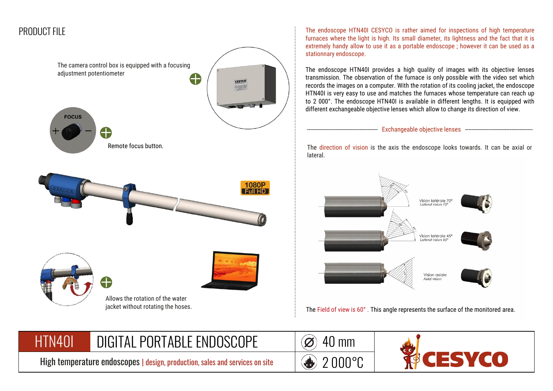

The endoscope HTN40I CESYCO is rather aimed for inspections of high temperature furnaces where the light is high. Its small diameter, its lightness and the fact that it is extremely handy allow to use it as a portable endoscope ; however it can be used as a stationnary endoscope.

The endoscope HTN40I provides a high quality of images with its objective lenses transmission. The observation of the furnace is only possible with the video set which records the images on a computer. With the rotation of its cooling jacket, the endoscope HTN40I is very easy to use and matches the furnaces whose temperature can reach up to 2 000°. The endoscope HTN40I is available in different lengths. It is equipped with different exchangeable objective lenses which allow to change its direction of view.

------------------------------------------- Exchangeable objective lenses -----------------------------------------

The direction of vision is the axis the endoscope looks towards. It can be axial or lateral.



The Field of view is 60° . This angle represents the surface of the monitored area.